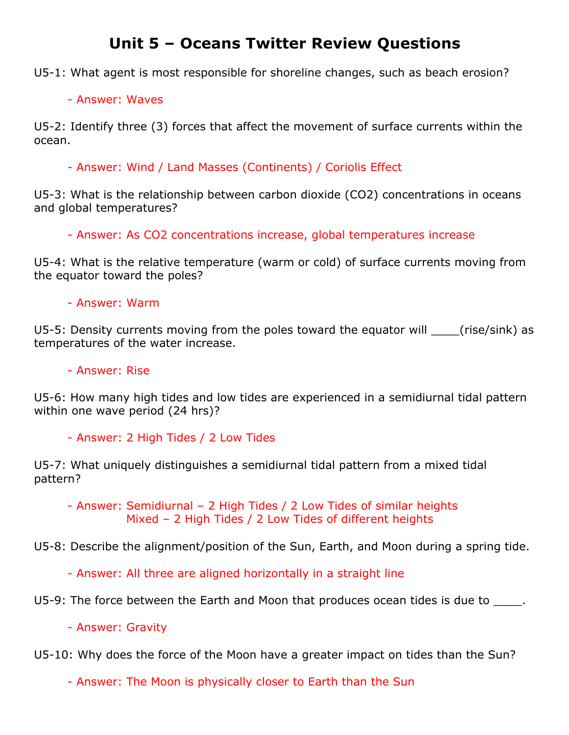## **Unit 5 – Oceans Twitter Review Questions**

U5-1: What agent is most responsible for shoreline changes, such as beach erosion?

## - Answer: Waves

U5-2: Identify three (3) forces that affect the movement of surface currents within the ocean.

- Answer: Wind / Land Masses (Continents) / Coriolis Effect

U5-3: What is the relationship between carbon dioxide (CO2) concentrations in oceans and global temperatures?

- Answer: As CO2 concentrations increase, global temperatures increase

U5-4: What is the relative temperature (warm or cold) of surface currents moving from the equator toward the poles?

## - Answer: Warm

U5-5: Density currents moving from the poles toward the equator will (rise/sink) as temperatures of the water increase.

- Answer: Rise

U5-6: How many high tides and low tides are experienced in a semidiurnal tidal pattern within one wave period (24 hrs)?

- Answer: 2 High Tides / 2 Low Tides

U5-7: What uniquely distinguishes a semidiurnal tidal pattern from a mixed tidal pattern?

- Answer: Semidiurnal – 2 High Tides / 2 Low Tides of similar heights Mixed – 2 High Tides / 2 Low Tides of different heights

U5-8: Describe the alignment/position of the Sun, Earth, and Moon during a spring tide.

- Answer: All three are aligned horizontally in a straight line

U5-9: The force between the Earth and Moon that produces ocean tides is due to \_\_\_\_\_.

- Answer: Gravity

U5-10: Why does the force of the Moon have a greater impact on tides than the Sun?

- Answer: The Moon is physically closer to Earth than the Sun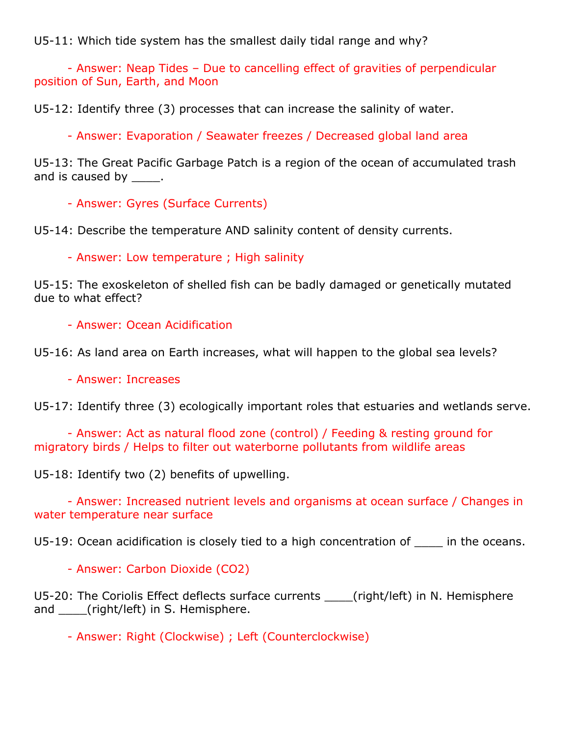U5-11: Which tide system has the smallest daily tidal range and why?

- Answer: Neap Tides – Due to cancelling effect of gravities of perpendicular position of Sun, Earth, and Moon

U5-12: Identify three (3) processes that can increase the salinity of water.

- Answer: Evaporation / Seawater freezes / Decreased global land area

U5-13: The Great Pacific Garbage Patch is a region of the ocean of accumulated trash and is caused by [100].

- Answer: Gyres (Surface Currents)

U5-14: Describe the temperature AND salinity content of density currents.

- Answer: Low temperature ; High salinity

U5-15: The exoskeleton of shelled fish can be badly damaged or genetically mutated due to what effect?

- Answer: Ocean Acidification

U5-16: As land area on Earth increases, what will happen to the global sea levels?

- Answer: Increases

U5-17: Identify three (3) ecologically important roles that estuaries and wetlands serve.

- Answer: Act as natural flood zone (control) / Feeding & resting ground for migratory birds / Helps to filter out waterborne pollutants from wildlife areas

U5-18: Identify two (2) benefits of upwelling.

- Answer: Increased nutrient levels and organisms at ocean surface / Changes in water temperature near surface

U5-19: Ocean acidification is closely tied to a high concentration of The the oceans.

- Answer: Carbon Dioxide (CO2)

U5-20: The Coriolis Effect deflects surface currents \_\_\_\_(right/left) in N. Hemisphere and (right/left) in S. Hemisphere.

- Answer: Right (Clockwise) ; Left (Counterclockwise)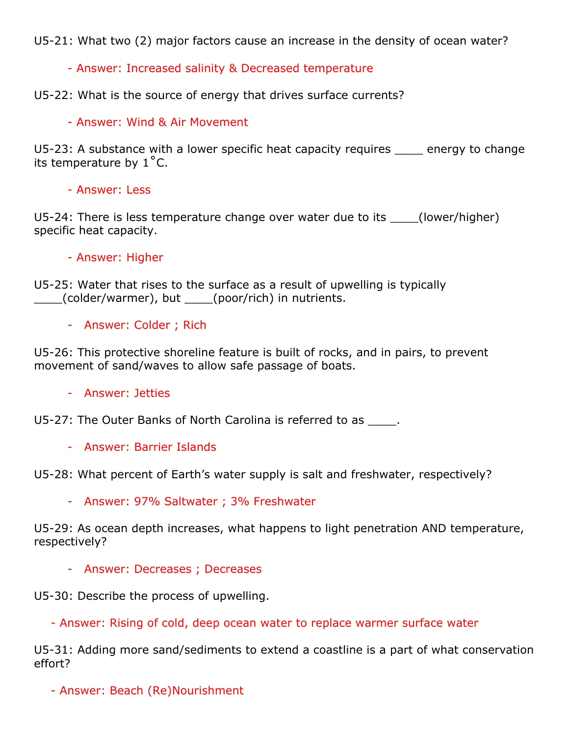U5-21: What two (2) major factors cause an increase in the density of ocean water?

- Answer: Increased salinity & Decreased temperature

U5-22: What is the source of energy that drives surface currents?

- Answer: Wind & Air Movement

U5-23: A substance with a lower specific heat capacity requires \_\_\_\_ energy to change its temperature by  $1^{\circ}$ C.

- Answer: Less

U5-24: There is less temperature change over water due to its \_\_\_\_(lower/higher) specific heat capacity.

## - Answer: Higher

U5-25: Water that rises to the surface as a result of upwelling is typically \_\_\_\_(colder/warmer), but \_\_\_\_(poor/rich) in nutrients.

- Answer: Colder ; Rich

U5-26: This protective shoreline feature is built of rocks, and in pairs, to prevent movement of sand/waves to allow safe passage of boats.

- Answer: Jetties

U5-27: The Outer Banks of North Carolina is referred to as \_\_\_\_.

- Answer: Barrier Islands

U5-28: What percent of Earth's water supply is salt and freshwater, respectively?

- Answer: 97% Saltwater ; 3% Freshwater

U5-29: As ocean depth increases, what happens to light penetration AND temperature, respectively?

- Answer: Decreases ; Decreases

U5-30: Describe the process of upwelling.

- Answer: Rising of cold, deep ocean water to replace warmer surface water

U5-31: Adding more sand/sediments to extend a coastline is a part of what conservation effort?

- Answer: Beach (Re)Nourishment